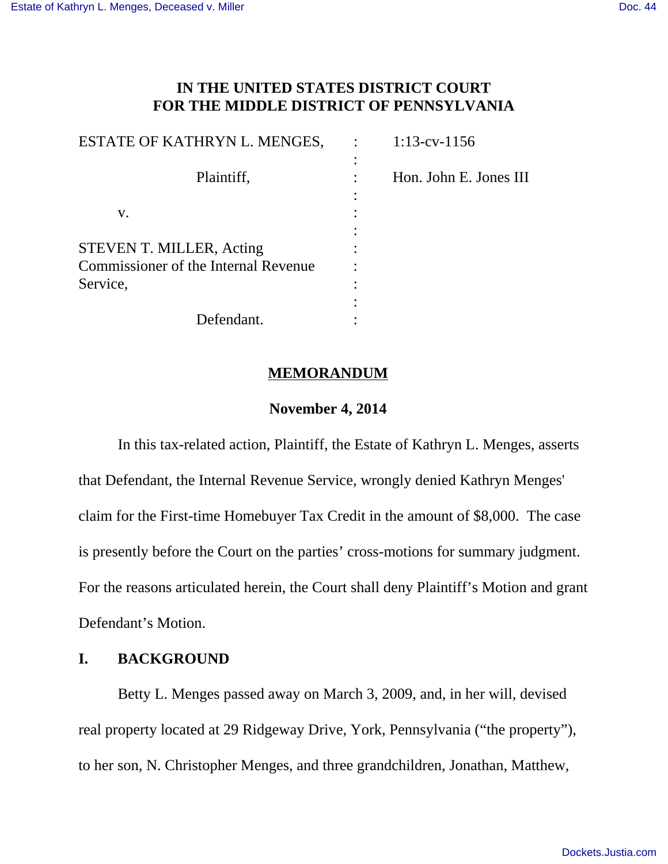# **IN THE UNITED STATES DISTRICT COURT FOR THE MIDDLE DISTRICT OF PENNSYLVANIA**

| ESTATE OF KATHRYN L. MENGES,         | $1:13$ -cv- $1156$     |
|--------------------------------------|------------------------|
|                                      |                        |
| Plaintiff,                           | Hon. John E. Jones III |
|                                      |                        |
| V.                                   |                        |
|                                      |                        |
| STEVEN T. MILLER, Acting             |                        |
| Commissioner of the Internal Revenue |                        |
| Service,                             |                        |
|                                      |                        |
| Defendant.                           |                        |

### **MEMORANDUM**

### **November 4, 2014**

In this tax-related action, Plaintiff, the Estate of Kathryn L. Menges, asserts that Defendant, the Internal Revenue Service, wrongly denied Kathryn Menges' claim for the First-time Homebuyer Tax Credit in the amount of \$8,000. The case is presently before the Court on the parties' cross-motions for summary judgment. For the reasons articulated herein, the Court shall deny Plaintiff's Motion and grant Defendant's Motion.

## **I. BACKGROUND**

Betty L. Menges passed away on March 3, 2009, and, in her will, devised real property located at 29 Ridgeway Drive, York, Pennsylvania ("the property"), to her son, N. Christopher Menges, and three grandchildren, Jonathan, Matthew,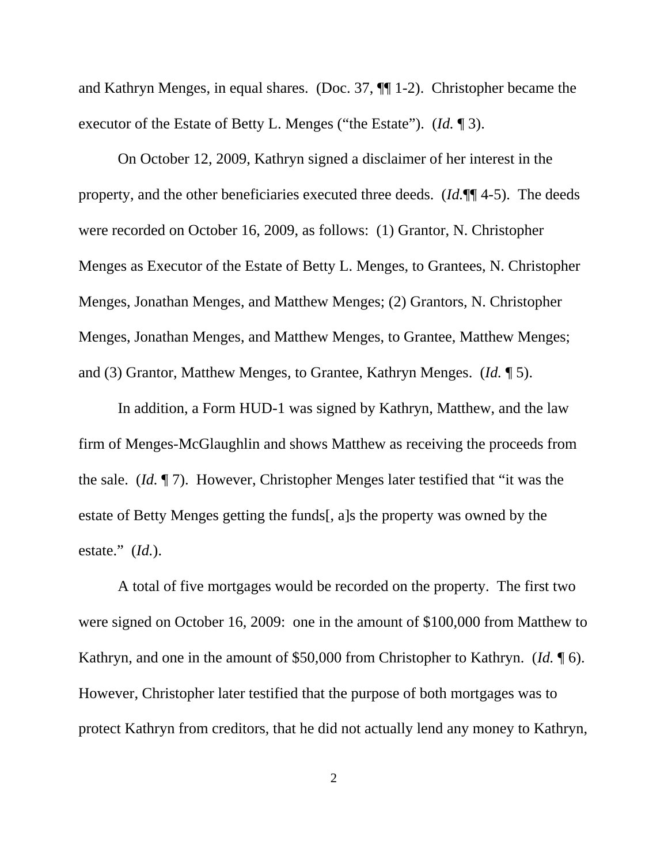and Kathryn Menges, in equal shares. (Doc. 37, ¶¶ 1-2). Christopher became the executor of the Estate of Betty L. Menges ("the Estate"). (*Id.* ¶ 3).

On October 12, 2009, Kathryn signed a disclaimer of her interest in the property, and the other beneficiaries executed three deeds. (*Id.*¶¶ 4-5). The deeds were recorded on October 16, 2009, as follows: (1) Grantor, N. Christopher Menges as Executor of the Estate of Betty L. Menges, to Grantees, N. Christopher Menges, Jonathan Menges, and Matthew Menges; (2) Grantors, N. Christopher Menges, Jonathan Menges, and Matthew Menges, to Grantee, Matthew Menges; and (3) Grantor, Matthew Menges, to Grantee, Kathryn Menges. (*Id.* ¶ 5).

In addition, a Form HUD-1 was signed by Kathryn, Matthew, and the law firm of Menges-McGlaughlin and shows Matthew as receiving the proceeds from the sale. (*Id.* ¶ 7). However, Christopher Menges later testified that "it was the estate of Betty Menges getting the funds[, a]s the property was owned by the estate." (*Id.*).

A total of five mortgages would be recorded on the property. The first two were signed on October 16, 2009: one in the amount of \$100,000 from Matthew to Kathryn, and one in the amount of \$50,000 from Christopher to Kathryn. (*Id.* ¶ 6). However, Christopher later testified that the purpose of both mortgages was to protect Kathryn from creditors, that he did not actually lend any money to Kathryn,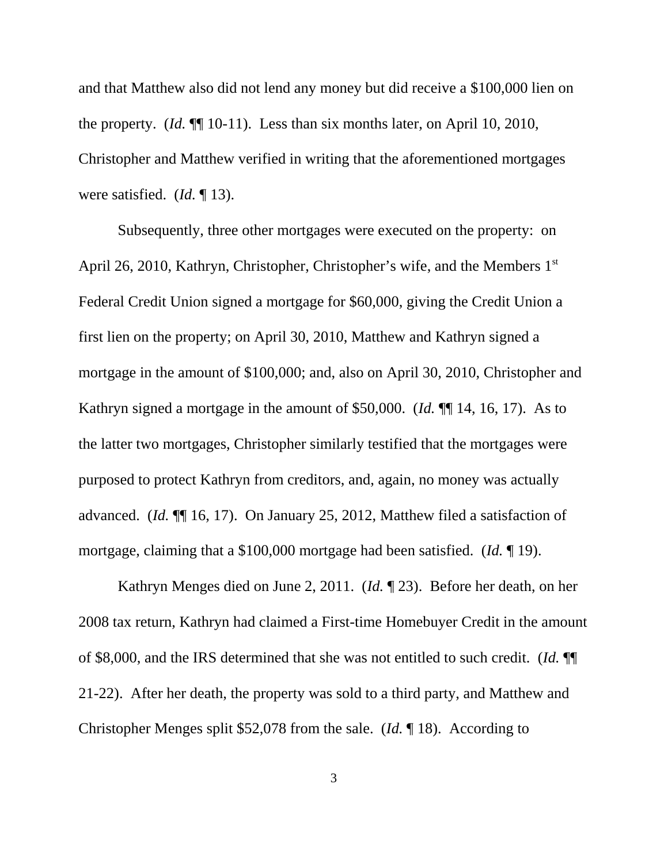and that Matthew also did not lend any money but did receive a \$100,000 lien on the property. (*Id.* ¶¶ 10-11). Less than six months later, on April 10, 2010, Christopher and Matthew verified in writing that the aforementioned mortgages were satisfied. (*Id.* ¶ 13).

Subsequently, three other mortgages were executed on the property: on April 26, 2010, Kathryn, Christopher, Christopher's wife, and the Members 1<sup>st</sup> Federal Credit Union signed a mortgage for \$60,000, giving the Credit Union a first lien on the property; on April 30, 2010, Matthew and Kathryn signed a mortgage in the amount of \$100,000; and, also on April 30, 2010, Christopher and Kathryn signed a mortgage in the amount of \$50,000. (*Id.* ¶¶ 14, 16, 17). As to the latter two mortgages, Christopher similarly testified that the mortgages were purposed to protect Kathryn from creditors, and, again, no money was actually advanced. (*Id.* ¶¶ 16, 17). On January 25, 2012, Matthew filed a satisfaction of mortgage, claiming that a \$100,000 mortgage had been satisfied. (*Id.* ¶ 19).

Kathryn Menges died on June 2, 2011. (*Id.* ¶ 23). Before her death, on her 2008 tax return, Kathryn had claimed a First-time Homebuyer Credit in the amount of \$8,000, and the IRS determined that she was not entitled to such credit. (*Id.* ¶¶ 21-22). After her death, the property was sold to a third party, and Matthew and Christopher Menges split \$52,078 from the sale. (*Id.* ¶ 18). According to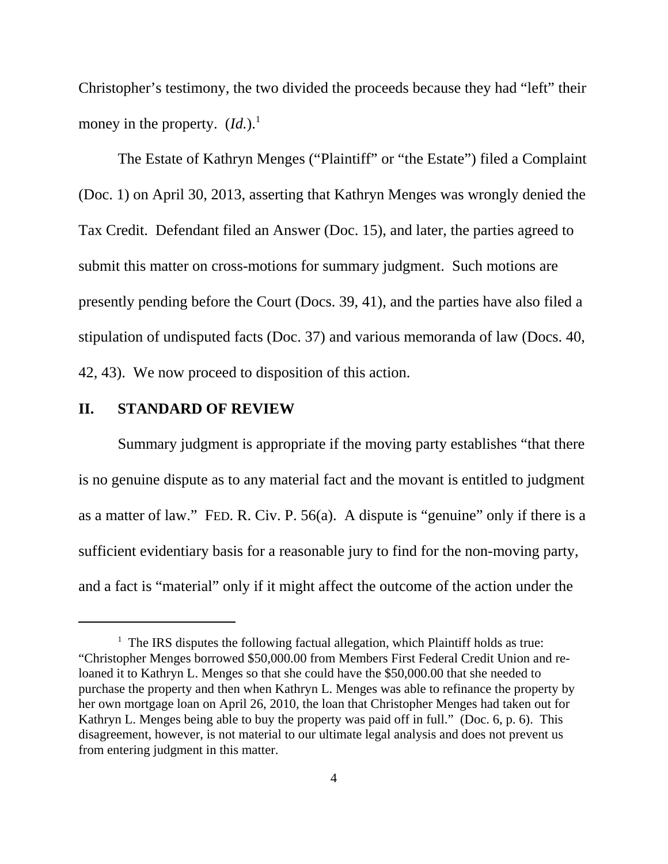Christopher's testimony, the two divided the proceeds because they had "left" their money in the property.  $(Id.)$ <sup>1</sup>

The Estate of Kathryn Menges ("Plaintiff" or "the Estate") filed a Complaint (Doc. 1) on April 30, 2013, asserting that Kathryn Menges was wrongly denied the Tax Credit. Defendant filed an Answer (Doc. 15), and later, the parties agreed to submit this matter on cross-motions for summary judgment. Such motions are presently pending before the Court (Docs. 39, 41), and the parties have also filed a stipulation of undisputed facts (Doc. 37) and various memoranda of law (Docs. 40, 42, 43). We now proceed to disposition of this action.

#### **II. STANDARD OF REVIEW**

Summary judgment is appropriate if the moving party establishes "that there is no genuine dispute as to any material fact and the movant is entitled to judgment as a matter of law." FED. R. Civ. P. 56(a). A dispute is "genuine" only if there is a sufficient evidentiary basis for a reasonable jury to find for the non-moving party, and a fact is "material" only if it might affect the outcome of the action under the

 $1$  The IRS disputes the following factual allegation, which Plaintiff holds as true: "Christopher Menges borrowed \$50,000.00 from Members First Federal Credit Union and reloaned it to Kathryn L. Menges so that she could have the \$50,000.00 that she needed to purchase the property and then when Kathryn L. Menges was able to refinance the property by her own mortgage loan on April 26, 2010, the loan that Christopher Menges had taken out for Kathryn L. Menges being able to buy the property was paid off in full." (Doc. 6, p. 6). This disagreement, however, is not material to our ultimate legal analysis and does not prevent us from entering judgment in this matter.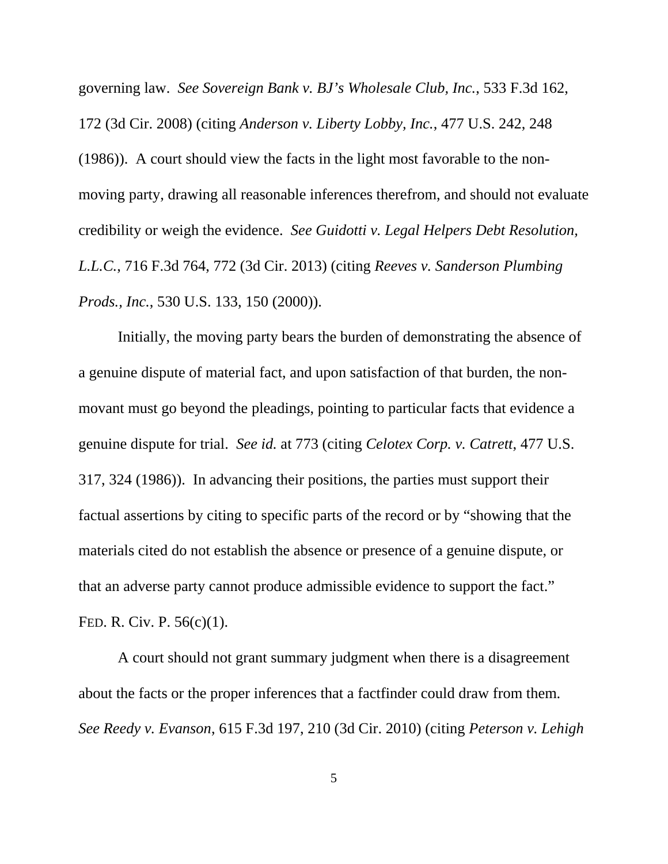governing law. *See Sovereign Bank v. BJ's Wholesale Club, Inc.*, 533 F.3d 162, 172 (3d Cir. 2008) (citing *Anderson v. Liberty Lobby, Inc.*, 477 U.S. 242, 248 (1986)). A court should view the facts in the light most favorable to the nonmoving party, drawing all reasonable inferences therefrom, and should not evaluate credibility or weigh the evidence. *See Guidotti v. Legal Helpers Debt Resolution, L.L.C.*, 716 F.3d 764, 772 (3d Cir. 2013) (citing *Reeves v. Sanderson Plumbing Prods., Inc.*, 530 U.S. 133, 150 (2000)).

Initially, the moving party bears the burden of demonstrating the absence of a genuine dispute of material fact, and upon satisfaction of that burden, the nonmovant must go beyond the pleadings, pointing to particular facts that evidence a genuine dispute for trial. *See id.* at 773 (citing *Celotex Corp. v. Catrett*, 477 U.S. 317, 324 (1986)). In advancing their positions, the parties must support their factual assertions by citing to specific parts of the record or by "showing that the materials cited do not establish the absence or presence of a genuine dispute, or that an adverse party cannot produce admissible evidence to support the fact." FED. R. Civ. P. 56(c)(1).

A court should not grant summary judgment when there is a disagreement about the facts or the proper inferences that a factfinder could draw from them. *See Reedy v. Evanson*, 615 F.3d 197, 210 (3d Cir. 2010) (citing *Peterson v. Lehigh*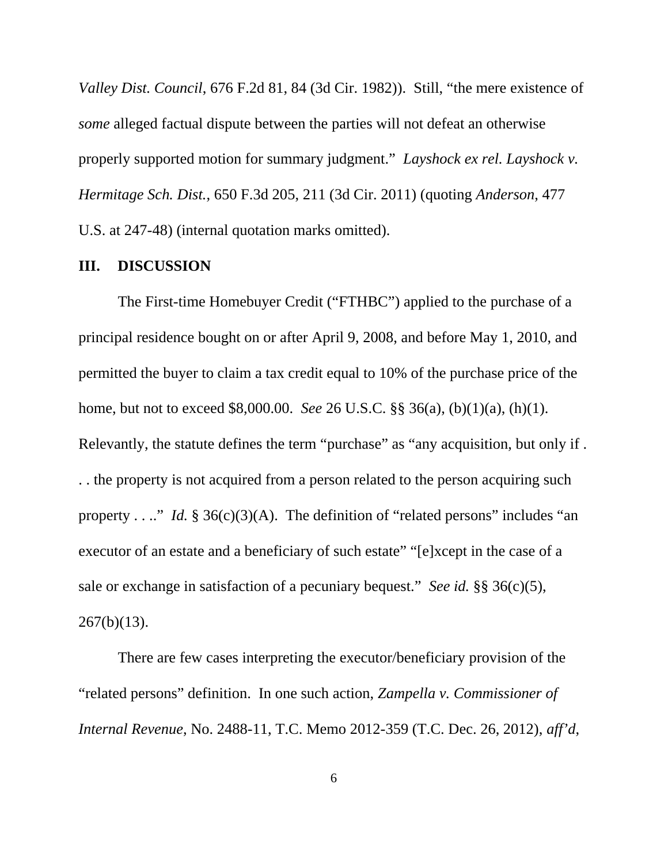*Valley Dist. Council*, 676 F.2d 81, 84 (3d Cir. 1982)). Still, "the mere existence of *some* alleged factual dispute between the parties will not defeat an otherwise properly supported motion for summary judgment." *Layshock ex rel. Layshock v. Hermitage Sch. Dist.*, 650 F.3d 205, 211 (3d Cir. 2011) (quoting *Anderson*, 477 U.S. at 247-48) (internal quotation marks omitted).

### **III. DISCUSSION**

The First-time Homebuyer Credit ("FTHBC") applied to the purchase of a principal residence bought on or after April 9, 2008, and before May 1, 2010, and permitted the buyer to claim a tax credit equal to 10% of the purchase price of the home, but not to exceed \$8,000.00. *See* 26 U.S.C. §§ 36(a), (b)(1)(a), (h)(1). Relevantly, the statute defines the term "purchase" as "any acquisition, but only if. . . the property is not acquired from a person related to the person acquiring such property . . .." *Id.*  $\frac{8}{3}$  36(c)(3)(A). The definition of "related persons" includes "an executor of an estate and a beneficiary of such estate" "[e]xcept in the case of a sale or exchange in satisfaction of a pecuniary bequest." *See id.* §§ 36(c)(5),  $267(b)(13)$ .

There are few cases interpreting the executor/beneficiary provision of the "related persons" definition. In one such action, *Zampella v. Commissioner of Internal Revenue*, No. 2488-11, T.C. Memo 2012-359 (T.C. Dec. 26, 2012), *aff'd*,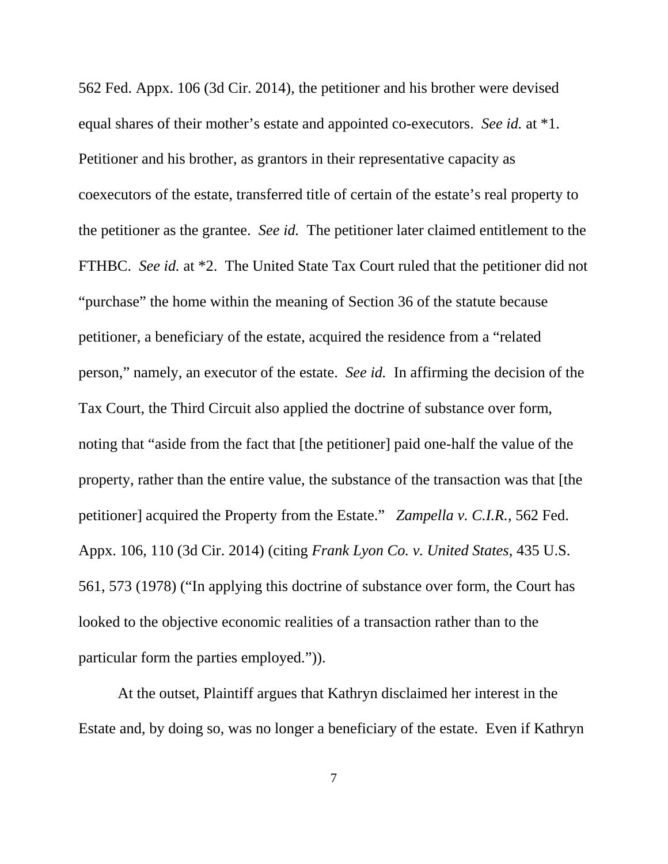562 Fed. Appx. 106 (3d Cir. 2014), the petitioner and his brother were devised equal shares of their mother's estate and appointed co-executors. *See id.* at \*1. Petitioner and his brother, as grantors in their representative capacity as coexecutors of the estate, transferred title of certain of the estate's real property to the petitioner as the grantee. *See id.* The petitioner later claimed entitlement to the FTHBC. *See id.* at \*2. The United State Tax Court ruled that the petitioner did not "purchase" the home within the meaning of Section 36 of the statute because petitioner, a beneficiary of the estate, acquired the residence from a "related person," namely, an executor of the estate. *See id.* In affirming the decision of the Tax Court, the Third Circuit also applied the doctrine of substance over form, noting that "aside from the fact that [the petitioner] paid one-half the value of the property, rather than the entire value, the substance of the transaction was that [the petitioner] acquired the Property from the Estate." *Zampella v. C.I.R.*, 562 Fed. Appx. 106, 110 (3d Cir. 2014) (citing *Frank Lyon Co. v. United States*, 435 U.S. 561, 573 (1978) ("In applying this doctrine of substance over form, the Court has looked to the objective economic realities of a transaction rather than to the particular form the parties employed.")).

At the outset, Plaintiff argues that Kathryn disclaimed her interest in the Estate and, by doing so, was no longer a beneficiary of the estate. Even if Kathryn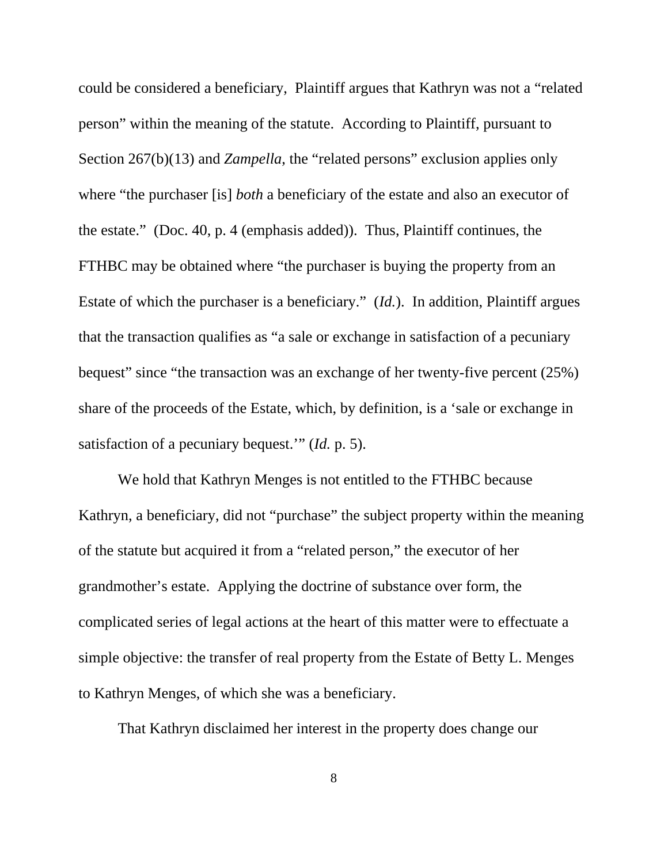could be considered a beneficiary, Plaintiff argues that Kathryn was not a "related person" within the meaning of the statute. According to Plaintiff, pursuant to Section 267(b)(13) and *Zampella*, the "related persons" exclusion applies only where "the purchaser [is] *both* a beneficiary of the estate and also an executor of the estate." (Doc. 40, p. 4 (emphasis added)). Thus, Plaintiff continues, the FTHBC may be obtained where "the purchaser is buying the property from an Estate of which the purchaser is a beneficiary." (*Id.*). In addition, Plaintiff argues that the transaction qualifies as "a sale or exchange in satisfaction of a pecuniary bequest" since "the transaction was an exchange of her twenty-five percent (25%) share of the proceeds of the Estate, which, by definition, is a 'sale or exchange in satisfaction of a pecuniary bequest.'" (*Id.* p. 5).

We hold that Kathryn Menges is not entitled to the FTHBC because Kathryn, a beneficiary, did not "purchase" the subject property within the meaning of the statute but acquired it from a "related person," the executor of her grandmother's estate. Applying the doctrine of substance over form, the complicated series of legal actions at the heart of this matter were to effectuate a simple objective: the transfer of real property from the Estate of Betty L. Menges to Kathryn Menges, of which she was a beneficiary.

That Kathryn disclaimed her interest in the property does change our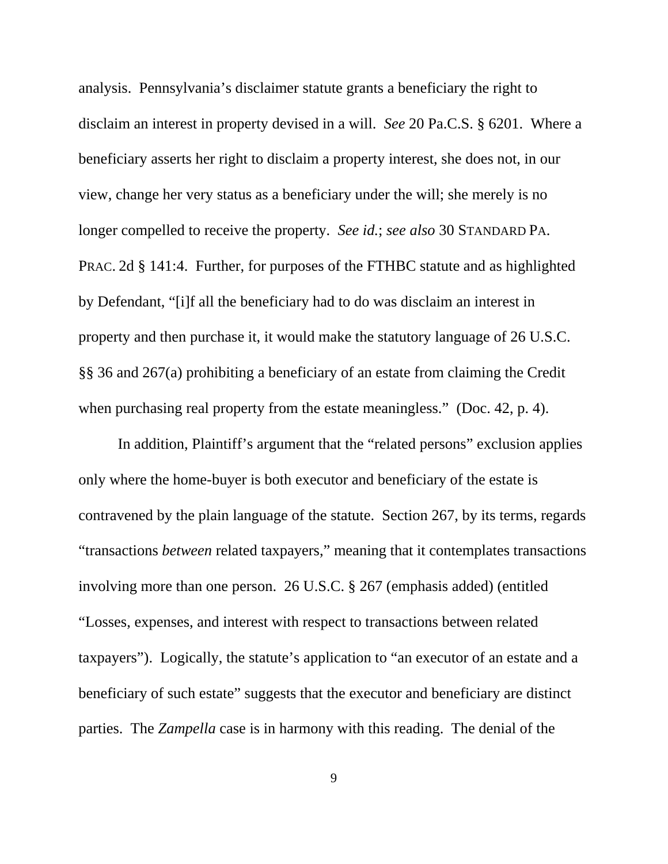analysis. Pennsylvania's disclaimer statute grants a beneficiary the right to disclaim an interest in property devised in a will. *See* 20 Pa.C.S. § 6201. Where a beneficiary asserts her right to disclaim a property interest, she does not, in our view, change her very status as a beneficiary under the will; she merely is no longer compelled to receive the property. *See id.*; *see also* 30 STANDARD PA. PRAC. 2d § 141:4. Further, for purposes of the FTHBC statute and as highlighted by Defendant, "[i]f all the beneficiary had to do was disclaim an interest in property and then purchase it, it would make the statutory language of 26 U.S.C. §§ 36 and 267(a) prohibiting a beneficiary of an estate from claiming the Credit when purchasing real property from the estate meaningless." (Doc. 42, p. 4).

In addition, Plaintiff's argument that the "related persons" exclusion applies only where the home-buyer is both executor and beneficiary of the estate is contravened by the plain language of the statute. Section 267, by its terms, regards "transactions *between* related taxpayers," meaning that it contemplates transactions involving more than one person. 26 U.S.C. § 267 (emphasis added) (entitled "Losses, expenses, and interest with respect to transactions between related taxpayers"). Logically, the statute's application to "an executor of an estate and a beneficiary of such estate" suggests that the executor and beneficiary are distinct parties. The *Zampella* case is in harmony with this reading. The denial of the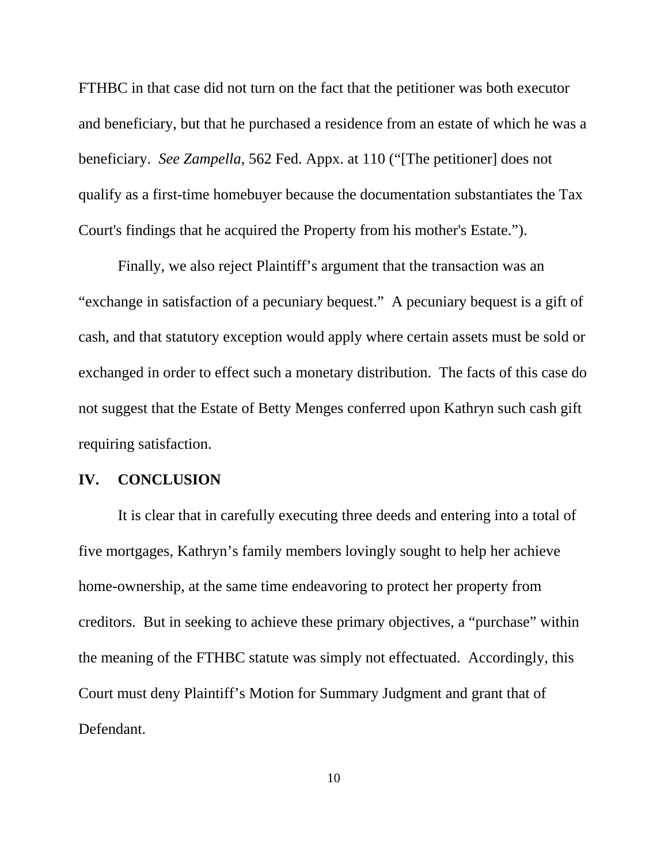FTHBC in that case did not turn on the fact that the petitioner was both executor and beneficiary, but that he purchased a residence from an estate of which he was a beneficiary. *See Zampella*, 562 Fed. Appx. at 110 ("[The petitioner] does not qualify as a first-time homebuyer because the documentation substantiates the Tax Court's findings that he acquired the Property from his mother's Estate.").

Finally, we also reject Plaintiff's argument that the transaction was an "exchange in satisfaction of a pecuniary bequest." A pecuniary bequest is a gift of cash, and that statutory exception would apply where certain assets must be sold or exchanged in order to effect such a monetary distribution. The facts of this case do not suggest that the Estate of Betty Menges conferred upon Kathryn such cash gift requiring satisfaction.

### **IV. CONCLUSION**

It is clear that in carefully executing three deeds and entering into a total of five mortgages, Kathryn's family members lovingly sought to help her achieve home-ownership, at the same time endeavoring to protect her property from creditors. But in seeking to achieve these primary objectives, a "purchase" within the meaning of the FTHBC statute was simply not effectuated. Accordingly, this Court must deny Plaintiff's Motion for Summary Judgment and grant that of Defendant.